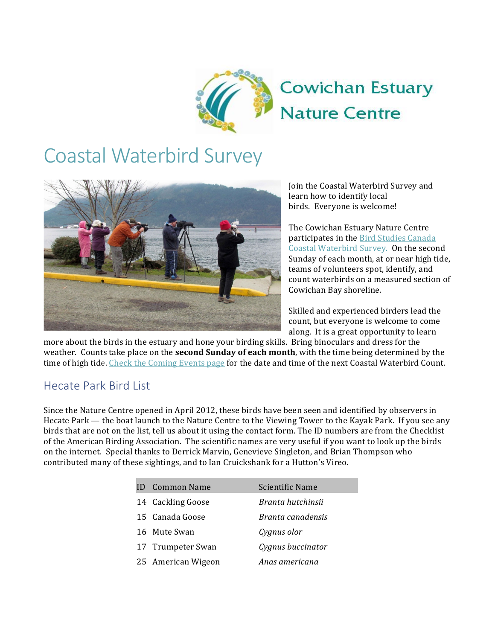

## Coastal Waterbird Survey



Join the Coastal Waterbird Survey and learn how to identify local birds. Everyone is welcome!

The Cowichan Estuary Nature Centre participates in the Bird Studies Canada Coastal Waterbird Survey. On the second Sunday of each month, at or near high tide, teams of volunteers spot, identify, and count waterbirds on a measured section of Cowichan Bay shoreline.

Skilled and experienced birders lead the count, but everyone is welcome to come along. It is a great opportunity to learn

more about the birds in the estuary and hone your birding skills. Bring binoculars and dress for the weather. Counts take place on the **second Sunday of each month**, with the time being determined by the time of high tide. Check the Coming Events page for the date and time of the next Coastal Waterbird Count.

## Hecate Park Bird List

Since the Nature Centre opened in April 2012, these birds have been seen and identified by observers in Hecate Park — the boat launch to the Nature Centre to the Viewing Tower to the Kayak Park. If you see any birds that are not on the list, tell us about it using the contact form. The ID numbers are from the Checklist of the American Birding Association. The scientific names are very useful if you want to look up the birds on the internet. Special thanks to Derrick Marvin, Genevieve Singleton, and Brian Thompson who contributed many of these sightings, and to Ian Cruickshank for a Hutton's Vireo.

| <b>Common Name</b> | Scientific Name   |
|--------------------|-------------------|
| 14 Cackling Goose  | Branta hutchinsii |
| 15 Canada Goose    | Branta canadensis |
| 16 Mute Swan       | Cygnus olor       |
| 17 Trumpeter Swan  | Cygnus buccinator |
| 25 American Wigeon | Anas americana    |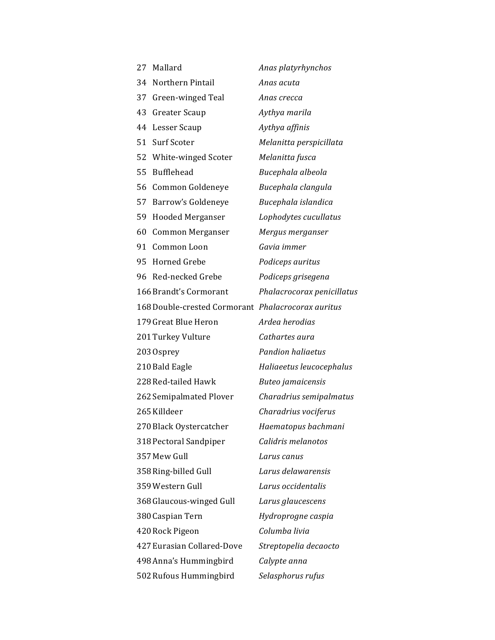| 27 | Mallard                                            | Anas platyrhynchos         |
|----|----------------------------------------------------|----------------------------|
| 34 | Northern Pintail                                   | Anas acuta                 |
| 37 | Green-winged Teal                                  | Anas crecca                |
| 43 | <b>Greater Scaup</b>                               | Aythya marila              |
| 44 | Lesser Scaup                                       | Aythya affinis             |
| 51 | <b>Surf Scoter</b>                                 | Melanitta perspicillata    |
| 52 | White-winged Scoter                                | Melanitta fusca            |
| 55 | <b>Bufflehead</b>                                  | Bucephala albeola          |
| 56 | Common Goldeneye                                   | Bucephala clangula         |
| 57 | Barrow's Goldeneye                                 | Bucephala islandica        |
| 59 | <b>Hooded Merganser</b>                            | Lophodytes cucullatus      |
| 60 | <b>Common Merganser</b>                            | Mergus merganser           |
| 91 | Common Loon                                        | Gavia immer                |
| 95 | <b>Horned Grebe</b>                                | Podiceps auritus           |
| 96 | Red-necked Grebe                                   | Podiceps grisegena         |
|    | 166 Brandt's Cormorant                             | Phalacrocorax penicillatus |
|    | 168 Double-crested Cormorant Phalacrocorax auritus |                            |
|    | 179 Great Blue Heron                               | Ardea herodias             |
|    | 201 Turkey Vulture                                 | Cathartes aura             |
|    | 203 Osprey                                         | <b>Pandion haliaetus</b>   |
|    | 210 Bald Eagle                                     | Haliaeetus leucocephalus   |
|    | 228 Red-tailed Hawk                                | Buteo jamaicensis          |
|    | 262 Semipalmated Plover                            | Charadrius semipalmatus    |
|    | 265 Killdeer                                       | Charadrius vociferus       |
|    | 270 Black Oystercatcher                            | Haematopus bachmani        |
|    | 318 Pectoral Sandpiper                             | Calidris melanotos         |
|    | 357 Mew Gull                                       | Larus canus                |
|    | 358 Ring-billed Gull                               | Larus delawarensis         |
|    | 359 Western Gull                                   | Larus occidentalis         |
|    | 368 Glaucous-winged Gull                           | Larus glaucescens          |
|    | 380 Caspian Tern                                   | Hydroprogne caspia         |
|    | 420 Rock Pigeon                                    | Columba livia              |
|    | 427 Eurasian Collared-Dove                         | Streptopelia decaocto      |
|    | 498 Anna's Hummingbird                             | Calypte anna               |
|    | 502 Rufous Hummingbird                             | Selasphorus rufus          |